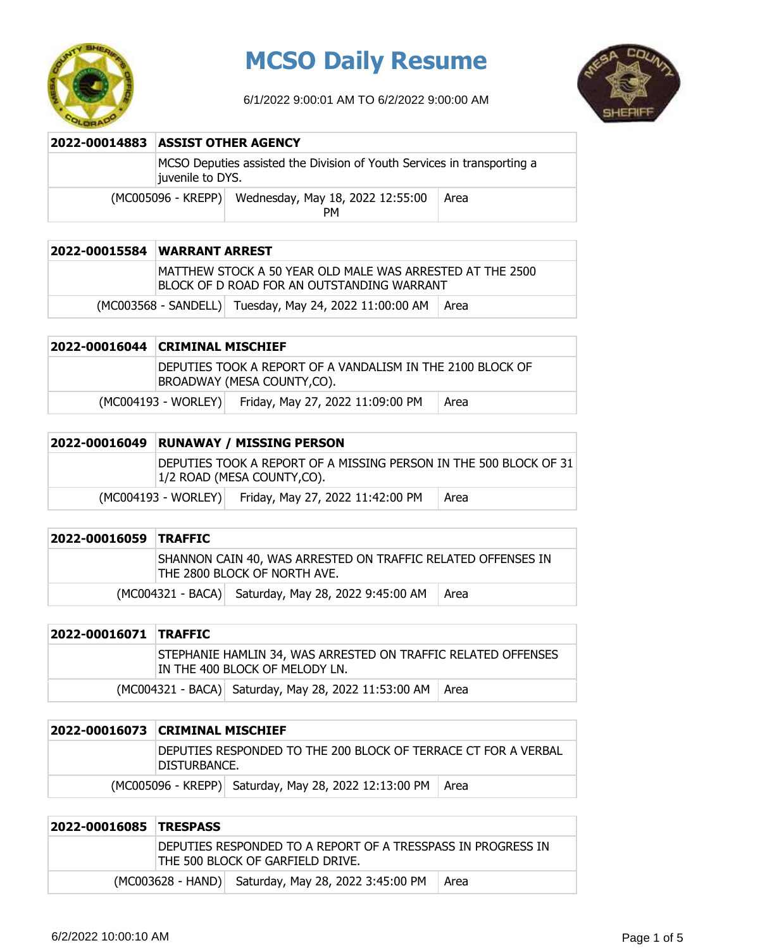

## **MCSO Daily Resume**

6/1/2022 9:00:01 AM TO 6/2/2022 9:00:00 AM



| 2022-00014883 ASSIST OTHER AGENCY                                                           |                                                           |      |
|---------------------------------------------------------------------------------------------|-----------------------------------------------------------|------|
| MCSO Deputies assisted the Division of Youth Services in transporting a<br>juvenile to DYS. |                                                           |      |
|                                                                                             | (MC005096 - KREPP) Wednesday, May 18, 2022 12:55:00<br>PМ | Area |

| 2022-00015584 WARRANT ARREST                                                                             |
|----------------------------------------------------------------------------------------------------------|
| IMATTHEW STOCK A 50 YEAR OLD MALE WAS ARRESTED AT THE 2500<br>BLOCK OF D ROAD FOR AN OUTSTANDING WARRANT |
| (MC003568 - SANDELL) Tuesday, May 24, 2022 11:00:00 AM   Area                                            |

### **2022-00016044 CRIMINAL MISCHIEF** DEPUTIES TOOK A REPORT OF A VANDALISM IN THE 2100 BLOCK OF BROADWAY (MESA COUNTY,CO). (MC004193 - WORLEY) Friday, May 27, 2022 11:09:00 PM | Area

| 2022-00016049 | RUNAWAY / MISSING PERSON |                                                                                                 |      |
|---------------|--------------------------|-------------------------------------------------------------------------------------------------|------|
|               |                          | DEPUTIES TOOK A REPORT OF A MISSING PERSON IN THE 500 BLOCK OF 31<br>1/2 ROAD (MESA COUNTY,CO). |      |
|               | (MC004193 - WORLEY)      | Friday, May 27, 2022 11:42:00 PM                                                                | Area |

| 2022-00016059 TRAFFIC |                                                                                              |      |
|-----------------------|----------------------------------------------------------------------------------------------|------|
|                       | SHANNON CAIN 40, WAS ARRESTED ON TRAFFIC RELATED OFFENSES IN<br>THE 2800 BLOCK OF NORTH AVE. |      |
|                       | (MC004321 - BACA) Saturday, May 28, 2022 9:45:00 AM                                          | Area |

| 2022-00016071 TRAFFIC |                                                                                                 |  |
|-----------------------|-------------------------------------------------------------------------------------------------|--|
|                       | STEPHANIE HAMLIN 34, WAS ARRESTED ON TRAFFIC RELATED OFFENSES<br>IN THE 400 BLOCK OF MELODY LN. |  |
|                       | (MC004321 - BACA) Saturday, May 28, 2022 11:53:00 AM   Area                                     |  |

| DISTURBANCE. | DEPUTIES RESPONDED TO THE 200 BLOCK OF TERRACE CT FOR A VERBAL |  |
|--------------|----------------------------------------------------------------|--|
|              | (MC005096 - KREPP) Saturday, May 28, 2022 12:13:00 PM   Area   |  |

| 2022-00016085 TRESPASS |                                                                                                   |      |
|------------------------|---------------------------------------------------------------------------------------------------|------|
|                        | IDEPUTIES RESPONDED TO A REPORT OF A TRESSPASS IN PROGRESS IN<br>THE 500 BLOCK OF GARFIELD DRIVE. |      |
|                        | (MC003628 - HAND) Saturday, May 28, 2022 3:45:00 PM                                               | Area |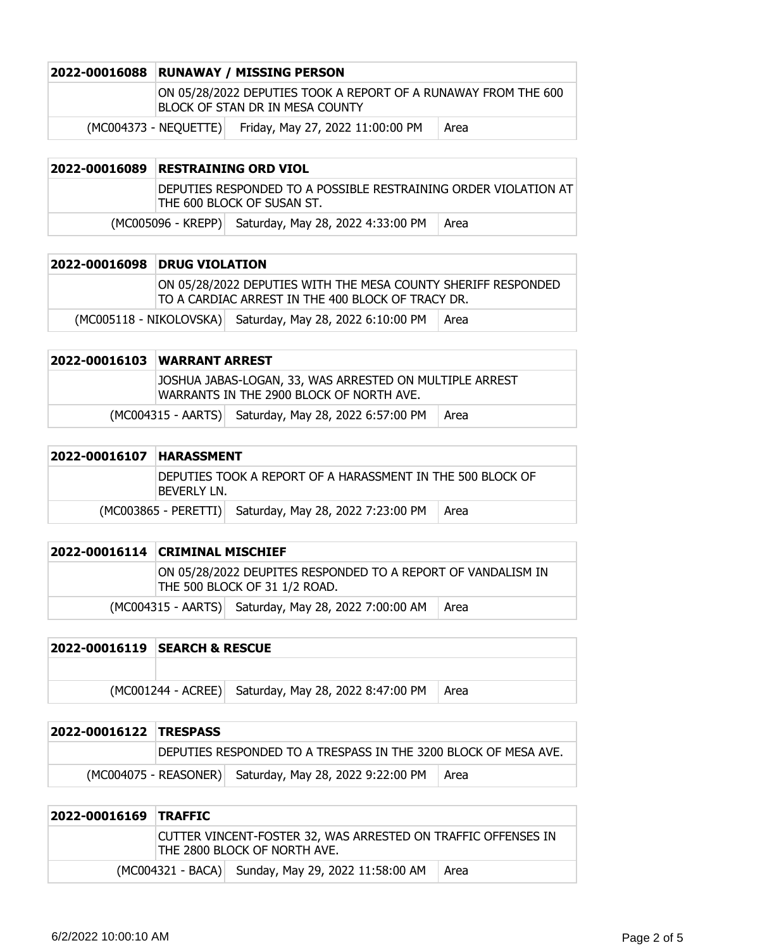| 2022-00016088 | <b>RUNAWAY / MISSING PERSON</b> |                                                                                                   |      |
|---------------|---------------------------------|---------------------------------------------------------------------------------------------------|------|
|               |                                 | ON 05/28/2022 DEPUTIES TOOK A REPORT OF A RUNAWAY FROM THE 600<br>BLOCK OF STAN DR IN MESA COUNTY |      |
|               | (MC004373 - NEOUETTE)           | Friday, May 27, 2022 11:00:00 PM                                                                  | Area |

| 2022-00016089 RESTRAINING ORD VIOL |                                                                                               |      |
|------------------------------------|-----------------------------------------------------------------------------------------------|------|
|                                    | DEPUTIES RESPONDED TO A POSSIBLE RESTRAINING ORDER VIOLATION AT<br>THE 600 BLOCK OF SUSAN ST. |      |
|                                    | (MC005096 - KREPP) Saturday, May 28, 2022 4:33:00 PM                                          | Area |

| 2022-00016098 | <b>DRUG VIOLATION</b> |                                                                                                                    |      |
|---------------|-----------------------|--------------------------------------------------------------------------------------------------------------------|------|
|               |                       | ON 05/28/2022 DEPUTIES WITH THE MESA COUNTY SHERIFF RESPONDED<br>TO A CARDIAC ARREST IN THE 400 BLOCK OF TRACY DR. |      |
|               |                       | (MC005118 - NIKOLOVSKA) Saturday, May 28, 2022 6:10:00 PM                                                          | Area |

| 2022-00016103 WARRANT ARREST |                                                                                                     |      |
|------------------------------|-----------------------------------------------------------------------------------------------------|------|
|                              | JOSHUA JABAS-LOGAN, 33, WAS ARRESTED ON MULTIPLE ARREST<br>WARRANTS IN THE 2900 BLOCK OF NORTH AVE. |      |
|                              | (MC004315 - AARTS) Saturday, May 28, 2022 6:57:00 PM                                                | Area |

| 2022-00016107 | <b>HARASSMENT</b> |                                                            |      |
|---------------|-------------------|------------------------------------------------------------|------|
|               | BEVERIY IN.       | DEPUTIES TOOK A REPORT OF A HARASSMENT IN THE 500 BLOCK OF |      |
|               |                   | (MC003865 - PERETTI) Saturday, May 28, 2022 7:23:00 PM     | Area |

|  | 2022-00016114 CRIMINAL MISCHIEF |                                                                                               |      |
|--|---------------------------------|-----------------------------------------------------------------------------------------------|------|
|  |                                 | ON 05/28/2022 DEUPITES RESPONDED TO A REPORT OF VANDALISM IN<br>THE 500 BLOCK OF 31 1/2 ROAD. |      |
|  |                                 | (MC004315 - AARTS) Saturday, May 28, 2022 7:00:00 AM                                          | Area |

| 2022-00016119 SEARCH & RESCUE |                                                      |      |
|-------------------------------|------------------------------------------------------|------|
|                               |                                                      |      |
|                               | (MC001244 - ACREE) Saturday, May 28, 2022 8:47:00 PM | Area |

| 2022-00016122 TRESPASS |  |                                                                 |        |
|------------------------|--|-----------------------------------------------------------------|--------|
|                        |  | DEPUTIES RESPONDED TO A TRESPASS IN THE 3200 BLOCK OF MESA AVE. |        |
|                        |  | (MC004075 - REASONER) Saturday, May 28, 2022 9:22:00 PM         | l Area |

| <b>2022-00016169 TRAFFIC</b> |                                                                                               |      |
|------------------------------|-----------------------------------------------------------------------------------------------|------|
|                              | CUTTER VINCENT-FOSTER 32, WAS ARRESTED ON TRAFFIC OFFENSES IN<br>THE 2800 BLOCK OF NORTH AVE. |      |
|                              | (MC004321 - BACA) Sunday, May 29, 2022 11:58:00 AM                                            | Area |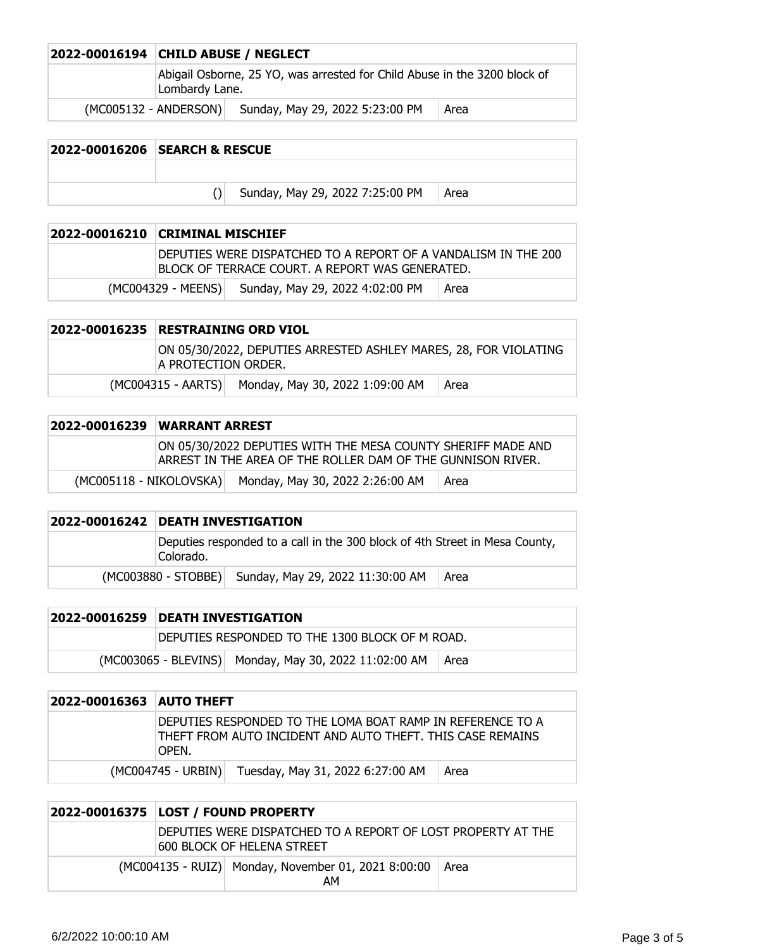| 2022-00016194 CHILD ABUSE / NEGLECT                                                         |                                 |      |
|---------------------------------------------------------------------------------------------|---------------------------------|------|
| Abigail Osborne, 25 YO, was arrested for Child Abuse in the 3200 block of<br>Lombardy Lane. |                                 |      |
| (MC005132 - ANDERSON)                                                                       | Sunday, May 29, 2022 5:23:00 PM | Area |

| 2022-00016206 SEARCH & RESCUE |                                 |      |
|-------------------------------|---------------------------------|------|
|                               |                                 |      |
|                               | Sunday, May 29, 2022 7:25:00 PM | Area |
|                               |                                 |      |

| 2022-00016210 CRIMINAL MISCHIEF                                                                                   |                                                    |      |
|-------------------------------------------------------------------------------------------------------------------|----------------------------------------------------|------|
| DEPUTIES WERE DISPATCHED TO A REPORT OF A VANDALISM IN THE 200<br>BLOCK OF TERRACE COURT. A REPORT WAS GENERATED. |                                                    |      |
|                                                                                                                   | (MC004329 - MEENS) Sunday, May 29, 2022 4:02:00 PM | Area |

| 2022-00016235 | <b>RESTRAINING ORD VIOL</b>                                                             |                                                    |      |
|---------------|-----------------------------------------------------------------------------------------|----------------------------------------------------|------|
|               | ON 05/30/2022, DEPUTIES ARRESTED ASHLEY MARES, 28, FOR VIOLATING<br>A PROTECTION ORDER. |                                                    |      |
|               |                                                                                         | (MC004315 - AARTS) Monday, May 30, 2022 1:09:00 AM | Area |

| 2022-00016239 WARRANT ARREST |                                                                                                                             |      |
|------------------------------|-----------------------------------------------------------------------------------------------------------------------------|------|
|                              | ON 05/30/2022 DEPUTIES WITH THE MESA COUNTY SHERIFF MADE AND<br>ARREST IN THE AREA OF THE ROLLER DAM OF THE GUNNISON RIVER. |      |
|                              | (MC005118 - NIKOLOVSKA) Monday, May 30, 2022 2:26:00 AM                                                                     | Area |

| 2022-00016242 DEATH INVESTIGATION                                                        |                                                      |      |
|------------------------------------------------------------------------------------------|------------------------------------------------------|------|
| Deputies responded to a call in the 300 block of 4th Street in Mesa County,<br>Colorado. |                                                      |      |
|                                                                                          | (MC003880 - STOBBE) Sunday, May 29, 2022 11:30:00 AM | Area |

| 2022-00016259 | <b>DEATH INVESTIGATION</b>                      |                                                       |      |
|---------------|-------------------------------------------------|-------------------------------------------------------|------|
|               | DEPUTIES RESPONDED TO THE 1300 BLOCK OF M ROAD. |                                                       |      |
|               |                                                 | (MC003065 - BLEVINS) Monday, May 30, 2022 11:02:00 AM | Area |

| 2022-00016363 AUTO THEFT |                                                                                                                                   |                                                     |      |
|--------------------------|-----------------------------------------------------------------------------------------------------------------------------------|-----------------------------------------------------|------|
|                          | DEPUTIES RESPONDED TO THE LOMA BOAT RAMP IN REFERENCE TO A<br>THEFT FROM AUTO INCIDENT AND AUTO THEFT. THIS CASE REMAINS<br>OPEN. |                                                     |      |
|                          |                                                                                                                                   | (MC004745 - URBIN) Tuesday, May 31, 2022 6:27:00 AM | Area |

| 2022-00016375 LOST / FOUND PROPERTY                                                               |                                                           |        |
|---------------------------------------------------------------------------------------------------|-----------------------------------------------------------|--------|
| DEPUTIES WERE DISPATCHED TO A REPORT OF LOST PROPERTY AT THE<br><b>600 BLOCK OF HELENA STREET</b> |                                                           |        |
|                                                                                                   | (MC004135 - RUIZ) Monday, November 01, 2021 8:00:00<br>AM | l Area |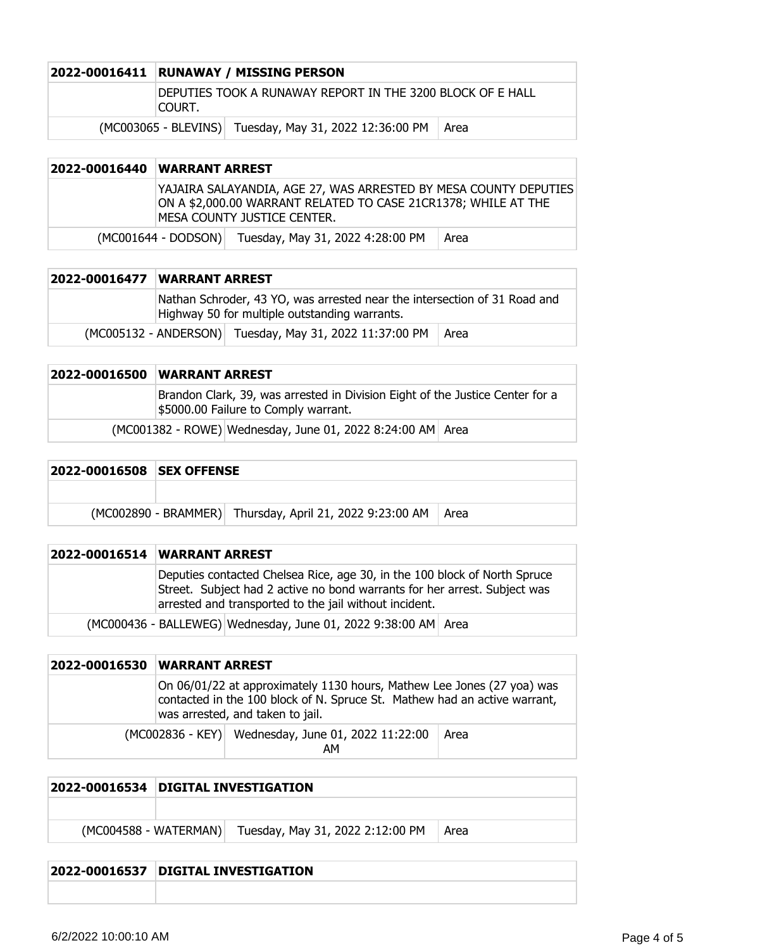|  | 2022-00016411 RUNAWAY / MISSING PERSON                               |                                                        |        |
|--|----------------------------------------------------------------------|--------------------------------------------------------|--------|
|  | DEPUTIES TOOK A RUNAWAY REPORT IN THE 3200 BLOCK OF E HALL<br>COURT. |                                                        |        |
|  |                                                                      | (MC003065 - BLEVINS) Tuesday, May 31, 2022 12:36:00 PM | - Area |

### **2022-00016440 WARRANT ARREST** YAJAIRA SALAYANDIA, AGE 27, WAS ARRESTED BY MESA COUNTY DEPUTIES ON A \$2,000.00 WARRANT RELATED TO CASE 21CR1378; WHILE AT THE MESA COUNTY JUSTICE CENTER.  $(MCOO1644 - DODSON)$  Tuesday, May 31, 2022 4:28:00 PM  $\vert$  Area

| <b>2022-00016477 WARRANT ARREST</b> |                                                                                                                            |                                                                |  |
|-------------------------------------|----------------------------------------------------------------------------------------------------------------------------|----------------------------------------------------------------|--|
|                                     | Nathan Schroder, 43 YO, was arrested near the intersection of 31 Road and<br>Highway 50 for multiple outstanding warrants. |                                                                |  |
|                                     |                                                                                                                            | (MC005132 - ANDERSON) Tuesday, May 31, 2022 11:37:00 PM   Area |  |

| 2022-00016500 | <b>WARRANT ARREST</b>                                                                                                 |                                                            |  |
|---------------|-----------------------------------------------------------------------------------------------------------------------|------------------------------------------------------------|--|
|               | Brandon Clark, 39, was arrested in Division Eight of the Justice Center for a<br>\$5000.00 Failure to Comply warrant. |                                                            |  |
|               |                                                                                                                       | (MC001382 - ROWE) Wednesday, June 01, 2022 8:24:00 AM Area |  |

| 2022-00016508 SEX OFFENSE |  |                                                                 |  |
|---------------------------|--|-----------------------------------------------------------------|--|
|                           |  |                                                                 |  |
|                           |  | (MC002890 - BRAMMER) Thursday, April 21, 2022 9:23:00 AM   Area |  |

| 2022-00016514 WARRANT ARREST                                                                                                                                                                                     |
|------------------------------------------------------------------------------------------------------------------------------------------------------------------------------------------------------------------|
| Deputies contacted Chelsea Rice, age 30, in the 100 block of North Spruce<br>Street. Subject had 2 active no bond warrants for her arrest. Subject was<br>arrested and transported to the jail without incident. |
| (MC000436 - BALLEWEG) Wednesday, June 01, 2022 9:38:00 AM Area                                                                                                                                                   |

| 2022-00016530 | WARRANT ARREST |                                                                                                                                                                                         |      |
|---------------|----------------|-----------------------------------------------------------------------------------------------------------------------------------------------------------------------------------------|------|
|               |                | On 06/01/22 at approximately 1130 hours, Mathew Lee Jones (27 yoa) was<br>contacted in the 100 block of N. Spruce St. Mathew had an active warrant,<br>was arrested, and taken to jail. |      |
|               |                | (MC002836 - KEY) Wednesday, June 01, 2022 11:22:00<br>АΜ                                                                                                                                | Area |

|                       | 2022-00016534 DIGITAL INVESTIGATION |                                  |      |
|-----------------------|-------------------------------------|----------------------------------|------|
|                       |                                     |                                  |      |
| (MC004588 - WATERMAN) |                                     | Tuesday, May 31, 2022 2:12:00 PM | Area |
|                       |                                     |                                  |      |

#### **2022-00016537 DIGITAL INVESTIGATION**